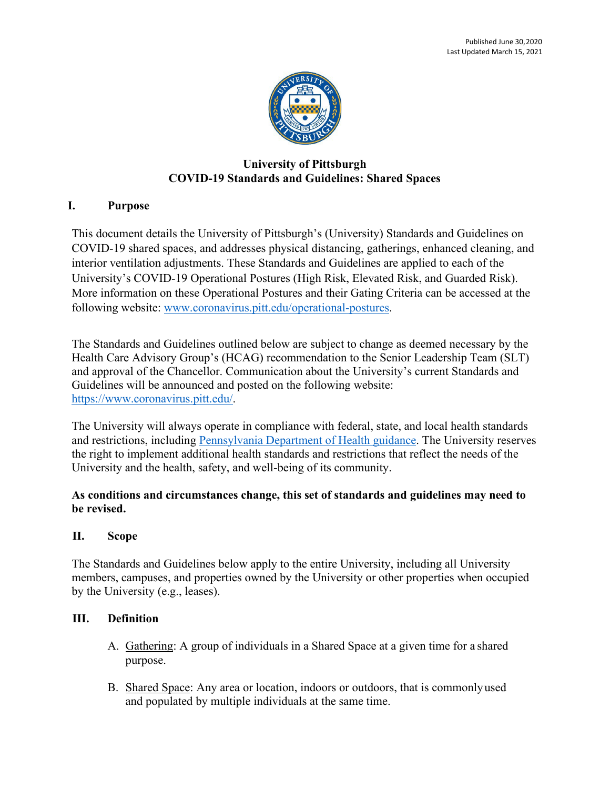

# **University of Pittsburgh COVID-19 Standards and Guidelines: Shared Spaces**

## **I. Purpose**

This document details the University of Pittsburgh's (University) Standards and Guidelines on COVID-19 shared spaces, and addresses physical distancing, gatherings, enhanced cleaning, and interior ventilation adjustments. These Standards and Guidelines are applied to each of the University's COVID-19 Operational Postures (High Risk, Elevated Risk, and Guarded Risk). More information on these Operational Postures and their Gating Criteria can be accessed at the following website: [www.coronavirus.pitt.edu/operational-postures.](http://www.coronavirus.pitt.edu/operational-postures)

The Standards and Guidelines outlined below are subject to change as deemed necessary by the Health Care Advisory Group's (HCAG) recommendation to the Senior Leadership Team (SLT) and approval of the Chancellor. Communication about the University's current Standards and Guidelines will be announced and posted on the following website: [https://www.coronavirus.pitt.edu/.](https://www.coronavirus.pitt.edu/)

The University will always operate in compliance with federal, state, and local health standards and restrictions, including [Pennsylvania Department of Health guidance.](https://www.health.pa.gov/topics/disease/coronavirus/Pages/Stop-the-Spread.aspx) The University reserves the right to implement additional health standards and restrictions that reflect the needs of the University and the health, safety, and well-being of its community.

### **As conditions and circumstances change, this set of standards and guidelines may need to be revised.**

### **II. Scope**

The Standards and Guidelines below apply to the entire University, including all University members, campuses, and properties owned by the University or other properties when occupied by the University (e.g., leases).

### **III. Definition**

- A. Gathering: A group of individuals in a Shared Space at a given time for a shared purpose.
- B. Shared Space: Any area or location, indoors or outdoors, that is commonlyused and populated by multiple individuals at the same time.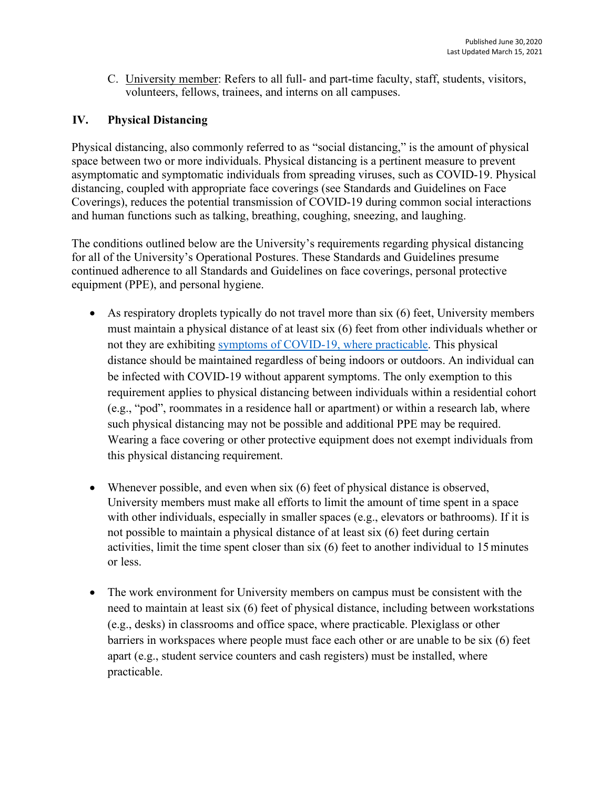C. University member: Refers to all full- and part-time faculty, staff, students, visitors, volunteers, fellows, trainees, and interns on all campuses.

## **IV. Physical Distancing**

Physical distancing, also commonly referred to as "social distancing," is the amount of physical space between two or more individuals. Physical distancing is a pertinent measure to prevent asymptomatic and symptomatic individuals from spreading viruses, such as COVID-19. Physical distancing, coupled with appropriate face coverings (see Standards and Guidelines on Face Coverings), reduces the potential transmission of COVID-19 during common social interactions and human functions such as talking, breathing, coughing, sneezing, and laughing.

The conditions outlined below are the University's requirements regarding physical distancing for all of the University's Operational Postures. These Standards and Guidelines presume continued adherence to all Standards and Guidelines on face coverings, personal protective equipment (PPE), and personal hygiene.

- As respiratory droplets typically do not travel more than six (6) feet, University members must maintain a physical distance of at least six (6) feet from other individuals whether or not they are exhibiting [symptoms of COVID-19,](https://www.cdc.gov/coronavirus/2019-ncov/symptoms-testing/symptoms.html) where practicable. This physical distance should be maintained regardless of being indoors or outdoors. An individual can be infected with COVID-19 without apparent symptoms. The only exemption to this requirement applies to physical distancing between individuals within a residential cohort (e.g., "pod", roommates in a residence hall or apartment) or within a research lab, where such physical distancing may not be possible and additional PPE may be required. Wearing a face covering or other protective equipment does not exempt individuals from this physical distancing requirement.
- Whenever possible, and even when six (6) feet of physical distance is observed, University members must make all efforts to limit the amount of time spent in a space with other individuals, especially in smaller spaces (e.g., elevators or bathrooms). If it is not possible to maintain a physical distance of at least six (6) feet during certain activities, limit the time spent closer than six (6) feet to another individual to 15minutes or less.
- The work environment for University members on campus must be consistent with the need to maintain at least six (6) feet of physical distance, including between workstations (e.g., desks) in classrooms and office space, where practicable. Plexiglass or other barriers in workspaces where people must face each other or are unable to be six (6) feet apart (e.g., student service counters and cash registers) must be installed, where practicable.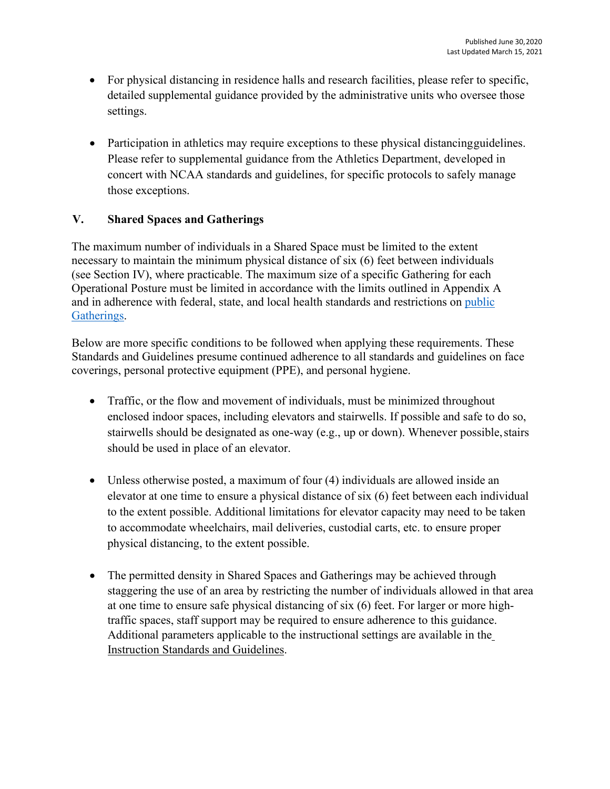- For physical distancing in residence halls and research facilities, please refer to specific, detailed supplemental guidance provided by the administrative units who oversee those settings.
- Participation in athletics may require exceptions to these physical distancing guidelines. Please refer to supplemental guidance from the Athletics Department, developed in concert with NCAA standards and guidelines, for specific protocols to safely manage those exceptions.

## **V. Shared Spaces and Gatherings**

The maximum number of individuals in a Shared Space must be limited to the extent necessary to maintain the minimum physical distance of six (6) feet between individuals (see Section IV), where practicable. The maximum size of a specific Gathering for each Operational Posture must be limited in accordance with the limits outlined in Appendix A and in adherence with federal, state, and local health standards and restrictions on [public](https://www.pa.gov/guides/responding-to-covid-19/#%253A%257E%253Atext%253DGatherings%2520and%2520Events%2526text%253DIn%2520the%2520Yellow%2520Phase%2520of%252Ca%2520maximum%2520of%2520250%2520individuals) [Gatherings.](https://www.pa.gov/guides/responding-to-covid-19/#%253A%257E%253Atext%253DGatherings%2520and%2520Events%2526text%253DIn%2520the%2520Yellow%2520Phase%2520of%252Ca%2520maximum%2520of%2520250%2520individuals)

Below are more specific conditions to be followed when applying these requirements. These Standards and Guidelines presume continued adherence to all standards and guidelines on face coverings, personal protective equipment (PPE), and personal hygiene.

- Traffic, or the flow and movement of individuals, must be minimized throughout enclosed indoor spaces, including elevators and stairwells. If possible and safe to do so, stairwells should be designated as one-way (e.g., up or down). Whenever possible, stairs should be used in place of an elevator.
- Unless otherwise posted, a maximum of four (4) individuals are allowed inside an elevator at one time to ensure a physical distance of six (6) feet between each individual to the extent possible. Additional limitations for elevator capacity may need to be taken to accommodate wheelchairs, mail deliveries, custodial carts, etc. to ensure proper physical distancing, to the extent possible.
- The permitted density in Shared Spaces and Gatherings may be achieved through staggering the use of an area by restricting the number of individuals allowed in that area at one time to ensure safe physical distancing of six (6) feet. For larger or more hightraffic spaces, staff support may be required to ensure adherence to this guidance. Additional parameters applicable to the instructional settings are available in the Instruction Standards and Guidelines.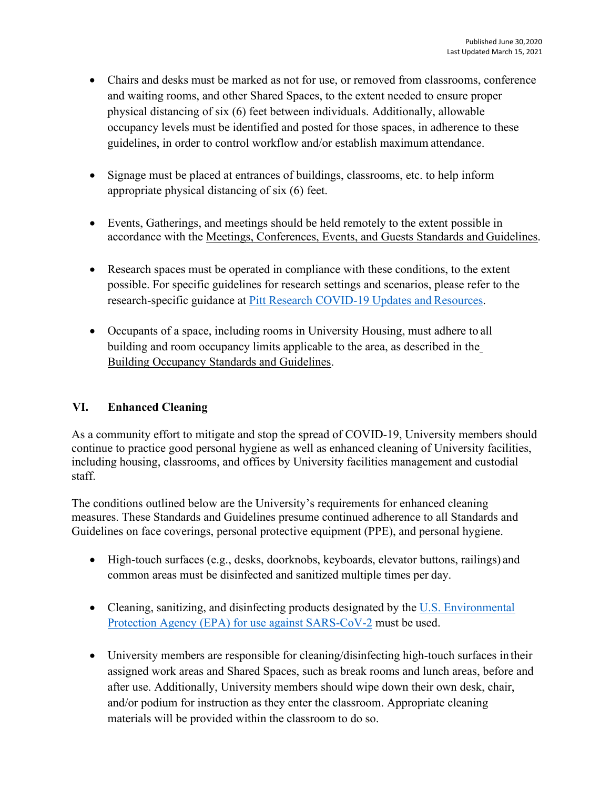- Chairs and desks must be marked as not for use, or removed from classrooms, conference and waiting rooms, and other Shared Spaces, to the extent needed to ensure proper physical distancing of six (6) feet between individuals. Additionally, allowable occupancy levels must be identified and posted for those spaces, in adherence to these guidelines, in order to control workflow and/or establish maximum attendance.
- Signage must be placed at entrances of buildings, classrooms, etc. to help inform appropriate physical distancing of six (6) feet.
- Events, Gatherings, and meetings should be held remotely to the extent possible in accordance with the [Meetings, Conferences, Events, and Guests Standards and](https://www.policy.pitt.edu/sites/default/files/covid/Meetings%20Conferences%20Events%20and%20Guests_FINAL.pdf) Guidelines.
- Research spaces must be operated in compliance with these conditions, to the extent possible. For specific guidelines for research settings and scenarios, please refer to the research-specific guidance at [Pitt Research COVID-19 Updates and](https://www.svcresearch.pitt.edu/pitt-researchers/covid-19-updates-and-resources) Resources.
- Occupants of a space, including rooms in University Housing, must adhere to all building and room occupancy limits applicable to the area, as described in th[e](https://www.policy.pitt.edu/sites/default/files/covid/Buildings%20and%20occupancy%20FINAL.pdf) [Building Occupancy Standards and](https://www.policy.pitt.edu/sites/default/files/covid/Buildings%20and%20occupancy%20FINAL.pdf) Guidelines.

### **VI. Enhanced Cleaning**

As a community effort to mitigate and stop the spread of COVID-19, University members should continue to practice good personal hygiene as well as enhanced cleaning of University facilities, including housing, classrooms, and offices by University facilities management and custodial staff.

The conditions outlined below are the University's requirements for enhanced cleaning measures. These Standards and Guidelines presume continued adherence to all Standards and Guidelines on face coverings, personal protective equipment (PPE), and personal hygiene.

- High-touch surfaces (e.g., desks, doorknobs, keyboards, elevator buttons, railings) and common areas must be disinfected and sanitized multiple times per day.
- Cleaning, sanitizing, and disinfecting products designated by the [U.S. Environmental](https://www.epa.gov/pesticide-registration/list-n-disinfectants-use-against-sars-cov-2-covid-19) [Protection Agency \(EPA\) for use against SARS-CoV-2](https://www.epa.gov/pesticide-registration/list-n-disinfectants-use-against-sars-cov-2-covid-19) must be used.
- University members are responsible for cleaning/disinfecting high-touch surfaces in their assigned work areas and Shared Spaces, such as break rooms and lunch areas, before and after use. Additionally, University members should wipe down their own desk, chair, and/or podium for instruction as they enter the classroom. Appropriate cleaning materials will be provided within the classroom to do so.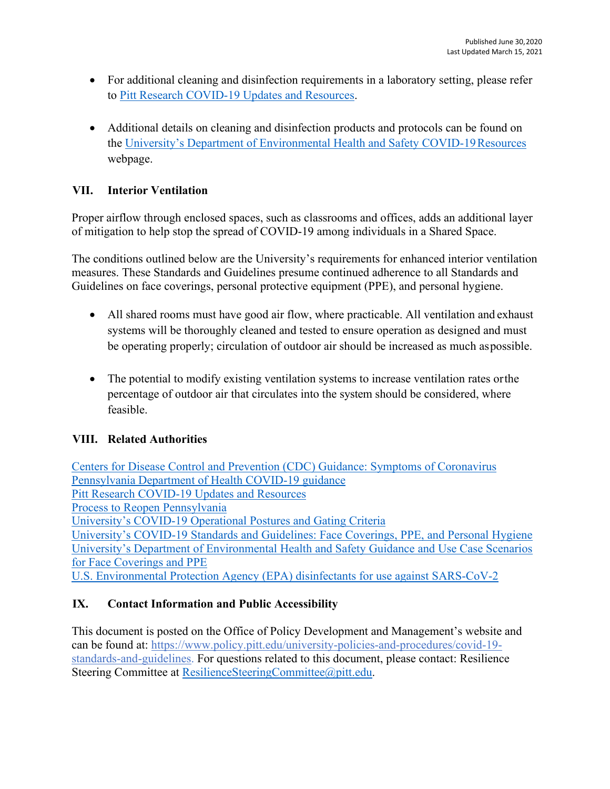- For additional cleaning and disinfection requirements in a laboratory setting, please refer to [Pitt Research COVID-19 Updates and](https://www.svcresearch.pitt.edu/pitt-researchers/covid-19-updates-and-resources) Resources.
- Additional details on cleaning and disinfection products and protocols can be found on the [University's Department of Environmental Health and Safety COVID-19Resources](https://www.ehs.pitt.edu/ehs-covid-19-resources) webpage.

## **VII. Interior Ventilation**

Proper airflow through enclosed spaces, such as classrooms and offices, adds an additional layer of mitigation to help stop the spread of COVID-19 among individuals in a Shared Space.

The conditions outlined below are the University's requirements for enhanced interior ventilation measures. These Standards and Guidelines presume continued adherence to all Standards and Guidelines on face coverings, personal protective equipment (PPE), and personal hygiene.

- All shared rooms must have good air flow, where practicable. All ventilation and exhaust systems will be thoroughly cleaned and tested to ensure operation as designed and must be operating properly; circulation of outdoor air should be increased as much aspossible.
- The potential to modify existing ventilation systems to increase ventilation rates or the percentage of outdoor air that circulates into the system should be considered, where feasible.

### **VIII. Related Authorities**

[Centers for Disease Control and Prevention \(CDC\) Guidance: Symptoms of Coronavirus](https://www.cdc.gov/coronavirus/2019-ncov/symptoms-testing/symptoms.html) [Pennsylvania Department of Health COVID-19 guidance](https://www.health.pa.gov/topics/disease/coronavirus/Pages/Stop-the-Spread.aspx) [Pitt Research COVID-19 Updates and Resources](https://www.svcresearch.pitt.edu/pitt-researchers/covid-19-updates-and-resources) [Process to Reopen Pennsylvania](https://www.governor.pa.gov/process-to-reopen-pennsylvania/) [University's COVID-19 Operational Postures and Gating Criteria](http://www.coronavirus.pitt.edu/operational-postures) [University's COVID-19 Standards and Guidelines: Face Coverings, PPE, and Personal Hygiene](https://www.policy.pitt.edu/sites/default/files/covid/HCAG_PPE%2520and%2520Hygiene%2520Standards%2520and%2520Guidelines.pdf) [University's Department of Environmental Health and Safety Guidance and Use Case Scenarios](https://www.ehs.pitt.edu/sites/default/files/docs/COVID19-FaceCoveringsPPEGuidance.pdf) [for Face Coverings and PPE](https://www.ehs.pitt.edu/sites/default/files/docs/COVID19-FaceCoveringsPPEGuidance.pdf) [U.S. Environmental Protection Agency \(EPA\) disinfectants for use against SARS-CoV-2](https://www.epa.gov/pesticide-registration/list-n-disinfectants-use-against-sars-cov-2-covid-19)

# **IX. Contact Information and Public Accessibility**

This document is posted on the Office of Policy Development and Management's website and can be found at: [https://www.policy.pitt.edu/university-policies-and-procedures/covid-19](https://www.policy.pitt.edu/university-policies-and-procedures/covid-19-standards-and-guidelines) [standards-and-guidelines.](https://www.policy.pitt.edu/university-policies-and-procedures/covid-19-standards-and-guidelines) For questions related to this document, please contact: Resilience Steering Committee at [ResilienceSteeringCommittee@pitt.edu.](mailto:ResilienceSteeringCommittee@pitt.edu)